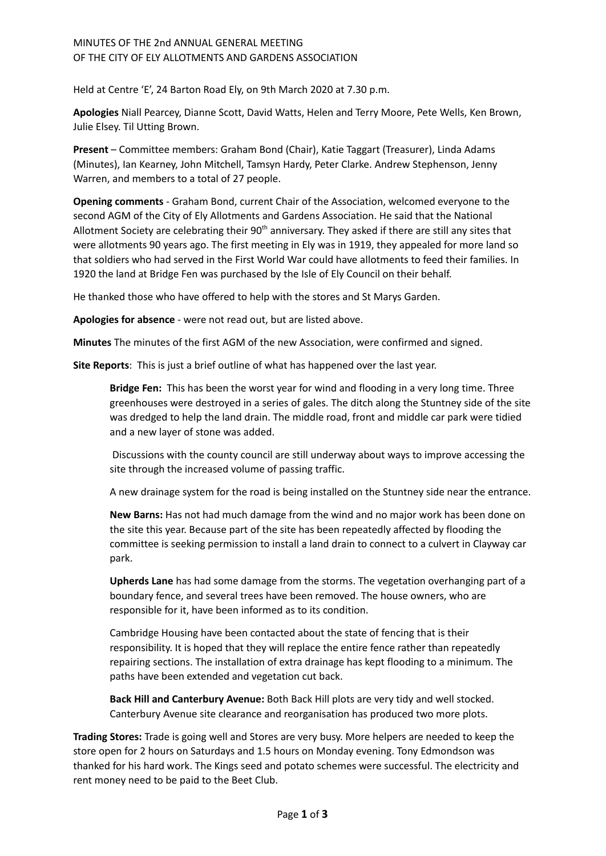## MINUTES OF THE 2nd ANNUAL GENERAL MEETING OF THE CITY OF ELY ALLOTMENTS AND GARDENS ASSOCIATION

Held at Centre 'E', 24 Barton Road Ely, on 9th March 2020 at 7.30 p.m.

**Apologies** Niall Pearcey, Dianne Scott, David Watts, Helen and Terry Moore, Pete Wells, Ken Brown, Julie Elsey. Til Utting Brown.

**Present** – Committee members: Graham Bond (Chair), Katie Taggart (Treasurer), Linda Adams (Minutes), Ian Kearney, John Mitchell, Tamsyn Hardy, Peter Clarke. Andrew Stephenson, Jenny Warren, and members to a total of 27 people.

**Opening comments** - Graham Bond, current Chair of the Association, welcomed everyone to the second AGM of the City of Ely Allotments and Gardens Association. He said that the National Allotment Society are celebrating their 90<sup>th</sup> anniversary. They asked if there are still any sites that were allotments 90 years ago. The first meeting in Ely was in 1919, they appealed for more land so that soldiers who had served in the First World War could have allotments to feed their families. In 1920 the land at Bridge Fen was purchased by the Isle of Ely Council on their behalf.

He thanked those who have offered to help with the stores and St Marys Garden.

**Apologies for absence** - were not read out, but are listed above.

**Minutes** The minutes of the first AGM of the new Association, were confirmed and signed.

**Site Reports**: This is just a brief outline of what has happened over the last year.

**Bridge Fen:** This has been the worst year for wind and flooding in a very long time. Three greenhouses were destroyed in a series of gales. The ditch along the Stuntney side of the site was dredged to help the land drain. The middle road, front and middle car park were tidied and a new layer of stone was added.

Discussions with the county council are still underway about ways to improve accessing the site through the increased volume of passing traffic.

A new drainage system for the road is being installed on the Stuntney side near the entrance.

**New Barns:** Has not had much damage from the wind and no major work has been done on the site this year. Because part of the site has been repeatedly affected by flooding the committee is seeking permission to install a land drain to connect to a culvert in Clayway car park.

**Upherds Lane** has had some damage from the storms. The vegetation overhanging part of a boundary fence, and several trees have been removed. The house owners, who are responsible for it, have been informed as to its condition.

Cambridge Housing have been contacted about the state of fencing that is their responsibility. It is hoped that they will replace the entire fence rather than repeatedly repairing sections. The installation of extra drainage has kept flooding to a minimum. The paths have been extended and vegetation cut back.

**Back Hill and Canterbury Avenue:** Both Back Hill plots are very tidy and well stocked. Canterbury Avenue site clearance and reorganisation has produced two more plots.

**Trading Stores:** Trade is going well and Stores are very busy. More helpers are needed to keep the store open for 2 hours on Saturdays and 1.5 hours on Monday evening. Tony Edmondson was thanked for his hard work. The Kings seed and potato schemes were successful. The electricity and rent money need to be paid to the Beet Club.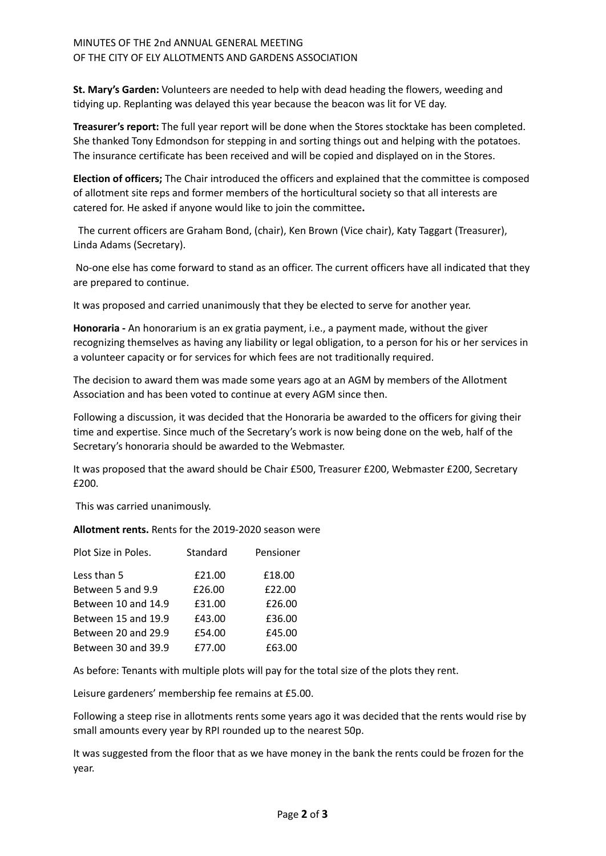## MINUTES OF THE 2nd ANNUAL GENERAL MEETING OF THE CITY OF ELY ALLOTMENTS AND GARDENS ASSOCIATION

**St. Mary's Garden:** Volunteers are needed to help with dead heading the flowers, weeding and tidying up. Replanting was delayed this year because the beacon was lit for VE day.

**Treasurer's report:** The full year report will be done when the Stores stocktake has been completed. She thanked Tony Edmondson for stepping in and sorting things out and helping with the potatoes. The insurance certificate has been received and will be copied and displayed on in the Stores.

**Election of officers;** The Chair introduced the officers and explained that the committee is composed of allotment site reps and former members of the horticultural society so that all interests are catered for. He asked if anyone would like to join the committee**.**

The current officers are Graham Bond, (chair), Ken Brown (Vice chair), Katy Taggart (Treasurer), Linda Adams (Secretary).

No-one else has come forward to stand as an officer. The current officers have all indicated that they are prepared to continue.

It was proposed and carried unanimously that they be elected to serve for another year.

**Honoraria -** An honorarium is an ex gratia payment, i.e., a payment made, without the giver recognizing themselves as having any liability or legal obligation, to a person for his or her services in a volunteer capacity or for services for which fees are not traditionally required.

The decision to award them was made some years ago at an AGM by members of the Allotment Association and has been voted to continue at every AGM since then.

Following a discussion, it was decided that the Honoraria be awarded to the officers for giving their time and expertise. Since much of the Secretary's work is now being done on the web, half of the Secretary's honoraria should be awarded to the Webmaster.

It was proposed that the award should be Chair £500, Treasurer £200, Webmaster £200, Secretary £200.

This was carried unanimously.

**Allotment rents.** Rents for the 2019-2020 season were

| Plot Size in Poles. | Standard | Pensioner |
|---------------------|----------|-----------|
| Less than 5         | £21.00   | £18.00    |
| Between 5 and 9.9   | £26.00   | £22.00    |
| Between 10 and 14.9 | £31.00   | £26.00    |
| Between 15 and 19.9 | £43.00   | £36.00    |
| Between 20 and 29.9 | £54.00   | £45.00    |
| Between 30 and 39.9 | £77.00   | £63.00    |

As before: Tenants with multiple plots will pay for the total size of the plots they rent.

Leisure gardeners' membership fee remains at £5.00.

Following a steep rise in allotments rents some years ago it was decided that the rents would rise by small amounts every year by RPI rounded up to the nearest 50p.

It was suggested from the floor that as we have money in the bank the rents could be frozen for the year.